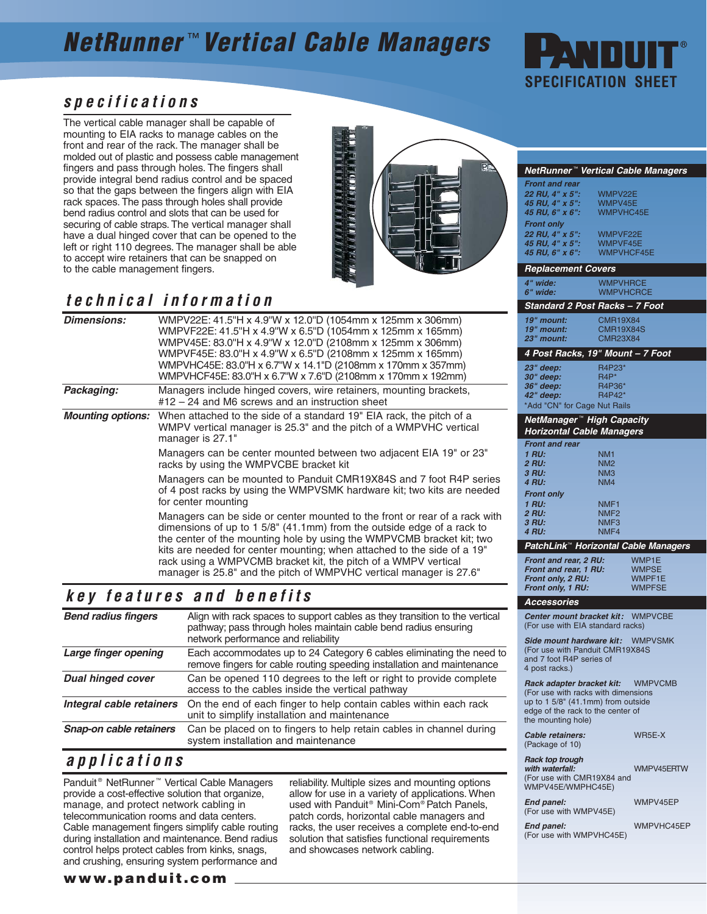# **NetRunner** ™ **Vertical Cable Managers**



#### **specifications**

The vertical cable manager shall be capable of mounting to EIA racks to manage cables on the front and rear of the rack. The manager shall be molded out of plastic and possess cable management fingers and pass through holes. The fingers shall provide integral bend radius control and be spaced so that the gaps between the fingers align with EIA rack spaces. The pass through holes shall provide bend radius control and slots that can be used for securing of cable straps. The vertical manager shall have a dual hinged cover that can be opened to the left or right 110 degrees. The manager shall be able to accept wire retainers that can be snapped on to the cable management fingers.



### **technical information**

| <b>Dimensions:</b>       | WMPV22E: 41.5"H x 4.9"W x 12.0"D (1054mm x 125mm x 306mm)<br>WMPVF22E: 41.5"H x 4.9"W x 6.5"D (1054mm x 125mm x 165mm)<br>WMPV45E: 83.0"H x 4.9"W x 12.0"D (2108mm x 125mm x 306mm)<br>WMPVF45E: 83.0"H x 4.9"W x 6.5"D (2108mm x 125mm x 165mm)<br>WMPVHC45E: 83.0"H x 6.7"W x 14.1"D (2108mm x 170mm x 357mm)<br>WMPVHCF45E: 83.0"H x 6.7"W x 7.6"D (2108mm x 170mm x 192mm)                                                                      |  |
|--------------------------|-----------------------------------------------------------------------------------------------------------------------------------------------------------------------------------------------------------------------------------------------------------------------------------------------------------------------------------------------------------------------------------------------------------------------------------------------------|--|
| Packaging:               | Managers include hinged covers, wire retainers, mounting brackets,<br>$#12 - 24$ and M6 screws and an instruction sheet                                                                                                                                                                                                                                                                                                                             |  |
| <b>Mounting options:</b> | When attached to the side of a standard 19" EIA rack, the pitch of a<br>WMPV vertical manager is 25.3" and the pitch of a WMPVHC vertical<br>manager is 27.1"                                                                                                                                                                                                                                                                                       |  |
|                          | Managers can be center mounted between two adjacent EIA 19" or 23"<br>racks by using the WMPVCBE bracket kit                                                                                                                                                                                                                                                                                                                                        |  |
|                          | Managers can be mounted to Panduit CMR19X84S and 7 foot R4P series<br>of 4 post racks by using the WMPVSMK hardware kit; two kits are needed<br>for center mounting                                                                                                                                                                                                                                                                                 |  |
|                          | Managers can be side or center mounted to the front or rear of a rack with<br>dimensions of up to $1.5/8$ " (41.1mm) from the outside edge of a rack to<br>the center of the mounting hole by using the WMPVCMB bracket kit; two<br>kits are needed for center mounting; when attached to the side of a 19"<br>rack using a WMPVCMB bracket kit, the pitch of a WMPV vertical<br>manager is 25.8" and the pitch of WMPVHC vertical manager is 27.6" |  |

#### **key features and benefits**

| <b>Bend radius fingers</b> | Align with rack spaces to support cables as they transition to the vertical<br>pathway; pass through holes maintain cable bend radius ensuring<br>network performance and reliability |
|----------------------------|---------------------------------------------------------------------------------------------------------------------------------------------------------------------------------------|
| Large finger opening       | Each accommodates up to 24 Category 6 cables eliminating the need to<br>remove fingers for cable routing speeding installation and maintenance                                        |
| <b>Dual hinged cover</b>   | Can be opened 110 degrees to the left or right to provide complete<br>access to the cables inside the vertical pathway                                                                |
| Integral cable retainers   | On the end of each finger to help contain cables within each rack<br>unit to simplify installation and maintenance                                                                    |
| Snap-on cable retainers    | Can be placed on to fingers to help retain cables in channel during<br>system installation and maintenance                                                                            |

### **applications**

Panduit ® NetRunner ™ Vertical Cable Managers provide a cost-effective solution that organize, manage, and protect network cabling in telecommunication rooms and data centers. Cable management fingers simplify cable routing during installation and maintenance. Bend radius control helps protect cables from kinks, snags, and crushing, ensuring system performance and

reliability. Multiple sizes and mounting options allow for use in a variety of applications. When used with Panduit<sup>®</sup> Mini-Com® Patch Panels, patch cords, horizontal cable managers and racks, the user receives a complete end-to-end solution that satisfies functional requirements and showcases network cabling.

|                                                                                    | NetRunner™ Vertical Cable Managers                                  |  |  |  |
|------------------------------------------------------------------------------------|---------------------------------------------------------------------|--|--|--|
| <b>Front and rear</b>                                                              |                                                                     |  |  |  |
| 22 RU, 4" x 5":                                                                    | WMPV22E                                                             |  |  |  |
| 45 RU, 4" x 5":                                                                    | WMPV45E                                                             |  |  |  |
| 45 RU, 6" x 6":                                                                    | WMPVHC45E                                                           |  |  |  |
| <b>Front only</b>                                                                  |                                                                     |  |  |  |
| 22 RU, 4" x 5":                                                                    | WMPVF22E                                                            |  |  |  |
| 45 RU, 4" x 5":<br>45 RU, 6" x 6":                                                 | WMPVF45E<br><b>WMPVHCF45E</b>                                       |  |  |  |
|                                                                                    |                                                                     |  |  |  |
| <b>Replacement Covers</b>                                                          |                                                                     |  |  |  |
| 4" wide:                                                                           | <b>WMPVHRCE</b>                                                     |  |  |  |
| 6" wide:                                                                           | <b>WMPVHCRCE</b>                                                    |  |  |  |
|                                                                                    | Standard 2 Post Racks – 7 Foot                                      |  |  |  |
|                                                                                    |                                                                     |  |  |  |
| 19" mount:<br>19" mount:                                                           | <b>CMR19X84</b><br><b>CMR19X84S</b>                                 |  |  |  |
| 23" mount:                                                                         | <b>CMR23X84</b>                                                     |  |  |  |
|                                                                                    |                                                                     |  |  |  |
|                                                                                    | 4 Post Racks, 19" Mount - 7 Foot                                    |  |  |  |
| 23" deep:                                                                          | R4P23*                                                              |  |  |  |
| 30" deep:                                                                          | $R4P*$                                                              |  |  |  |
| 36" deep:<br>42" deep:                                                             | R4P36*<br>R4P42*                                                    |  |  |  |
| *Add "CN" for Cage Nut Rails                                                       |                                                                     |  |  |  |
|                                                                                    |                                                                     |  |  |  |
|                                                                                    | NetManager™ High Capacity                                           |  |  |  |
|                                                                                    | <b>Horizontal Cable Managers</b>                                    |  |  |  |
| <b>Front and rear</b>                                                              |                                                                     |  |  |  |
| 1 RU:                                                                              | NM1                                                                 |  |  |  |
| <b>2 RU:</b>                                                                       | NM2                                                                 |  |  |  |
| 3 RU:<br>4 RU:                                                                     | NM3<br>NM4                                                          |  |  |  |
| <b>Front only</b>                                                                  |                                                                     |  |  |  |
| 1 RU:                                                                              | NMF <sub>1</sub>                                                    |  |  |  |
| 2 RU:                                                                              | NMF <sub>2</sub>                                                    |  |  |  |
| 3 RU:                                                                              | NMF3                                                                |  |  |  |
| <b>4 RU:</b>                                                                       | NMF4                                                                |  |  |  |
|                                                                                    | PatchLink™ Horizontal Cable Managers                                |  |  |  |
| Front and rear, 2 RU:                                                              | WMP1E                                                               |  |  |  |
| Front and rear, 1 RU:                                                              | <b>WMPSE</b>                                                        |  |  |  |
| Front only, 2 RU:                                                                  | <b>WMPF1E</b>                                                       |  |  |  |
| Front only, 1 RU:                                                                  | WMPFSE                                                              |  |  |  |
| <b>Accessories</b>                                                                 |                                                                     |  |  |  |
|                                                                                    | Center mount bracket kit: WMPVCBE                                   |  |  |  |
|                                                                                    | (For use with EIA standard racks)                                   |  |  |  |
|                                                                                    |                                                                     |  |  |  |
|                                                                                    | Side mount hardware kit: WMPVSMK<br>(For use with Panduit CMR19X84S |  |  |  |
| and 7 foot R4P series of                                                           |                                                                     |  |  |  |
| 4 post racks.)                                                                     |                                                                     |  |  |  |
|                                                                                    |                                                                     |  |  |  |
| <b>WMPVCMB</b><br>Rack adapter bracket kit:<br>(For use with racks with dimensions |                                                                     |  |  |  |
| up to 1 5/8" (41.1mm) from outside                                                 |                                                                     |  |  |  |
| edge of the rack to the center of                                                  |                                                                     |  |  |  |
| the mounting hole)                                                                 |                                                                     |  |  |  |
| Cable retainers:                                                                   | WR5E-X                                                              |  |  |  |
| (Package of 10)                                                                    |                                                                     |  |  |  |
| <b>Rack top trough</b>                                                             |                                                                     |  |  |  |
| with waterfall:                                                                    | WMPV45ERTW                                                          |  |  |  |

(For use with CMR19X84 and WMPV45E/WMPHC45E)

**End panel:** WMPV45EP (For use with WMPV45E)

**End panel:** WMPVHC45EP (For use with WMPVHC45E)

#### **www.panduit.com**